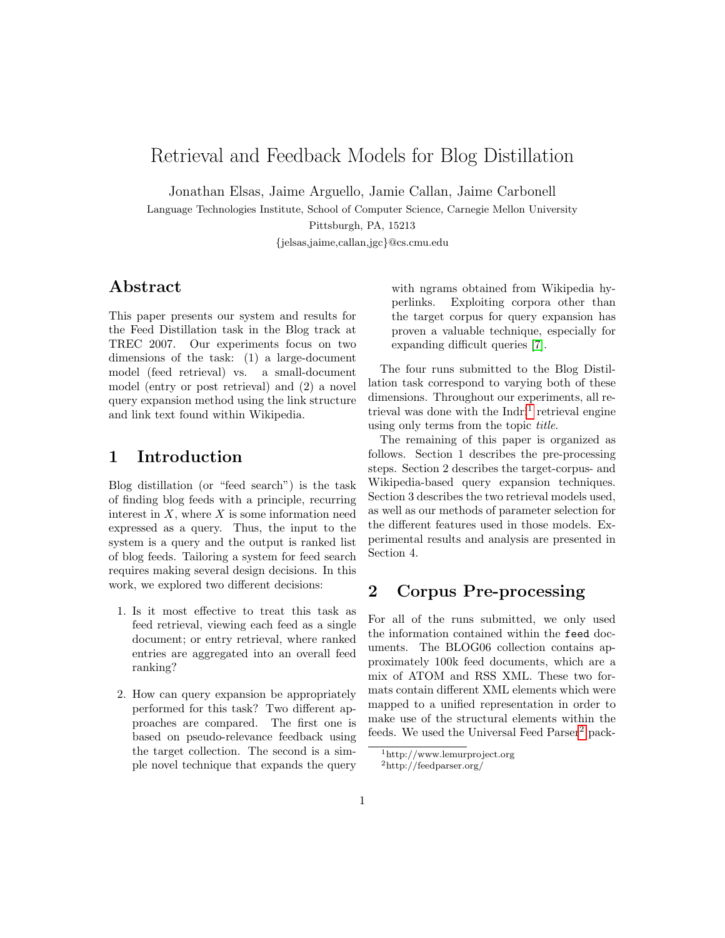# Retrieval and Feedback Models for Blog Distillation

Jonathan Elsas, Jaime Arguello, Jamie Callan, Jaime Carbonell

Language Technologies Institute, School of Computer Science, Carnegie Mellon University

Pittsburgh, PA, 15213

{jelsas,jaime,callan,jgc}@cs.cmu.edu

# Abstract

This paper presents our system and results for the Feed Distillation task in the Blog track at TREC 2007. Our experiments focus on two dimensions of the task: (1) a large-document model (feed retrieval) vs. a small-document model (entry or post retrieval) and (2) a novel query expansion method using the link structure and link text found within Wikipedia.

# 1 Introduction

Blog distillation (or "feed search") is the task of finding blog feeds with a principle, recurring interest in  $X$ , where  $X$  is some information need expressed as a query. Thus, the input to the system is a query and the output is ranked list of blog feeds. Tailoring a system for feed search requires making several design decisions. In this work, we explored two different decisions:

- 1. Is it most effective to treat this task as feed retrieval, viewing each feed as a single document; or entry retrieval, where ranked entries are aggregated into an overall feed ranking?
- 2. How can query expansion be appropriately performed for this task? Two different approaches are compared. The first one is based on pseudo-relevance feedback using the target collection. The second is a simple novel technique that expands the query

with ngrams obtained from Wikipedia hyperlinks. Exploiting corpora other than the target corpus for query expansion has proven a valuable technique, especially for expanding difficult queries [\[7\]](#page-5-0).

The four runs submitted to the Blog Distillation task correspond to varying both of these dimensions. Throughout our experiments, all re-trieval was done with the Indri<sup>[1](#page-0-0)</sup> retrieval engine using only terms from the topic title.

The remaining of this paper is organized as follows. Section 1 describes the pre-processing steps. Section 2 describes the target-corpus- and Wikipedia-based query expansion techniques. Section 3 describes the two retrieval models used, as well as our methods of parameter selection for the different features used in those models. Experimental results and analysis are presented in Section 4.

## 2 Corpus Pre-processing

For all of the runs submitted, we only used the information contained within the feed documents. The BLOG06 collection contains approximately 100k feed documents, which are a mix of ATOM and RSS XML. These two formats contain different XML elements which were mapped to a unified representation in order to make use of the structural elements within the feeds. We used the Universal Feed Parser<sup>[2](#page-0-1)</sup> pack-

<span id="page-0-1"></span><span id="page-0-0"></span><sup>1</sup>http://www.lemurproject.org <sup>2</sup>http://feedparser.org/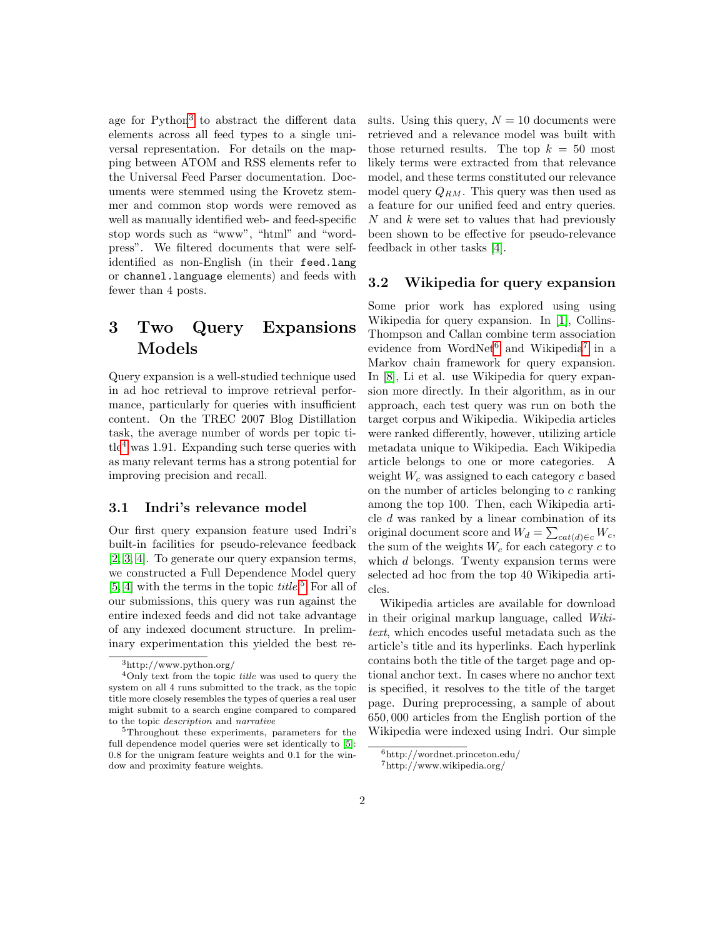age for Python<sup>[3](#page-1-0)</sup> to abstract the different data elements across all feed types to a single universal representation. For details on the mapping between ATOM and RSS elements refer to the Universal Feed Parser documentation. Documents were stemmed using the Krovetz stemmer and common stop words were removed as well as manually identified web- and feed-specific stop words such as "www", "html" and "wordpress". We filtered documents that were selfidentified as non-English (in their feed.lang or channel.language elements) and feeds with fewer than 4 posts.

# 3 Two Query Expansions Models

Query expansion is a well-studied technique used in ad hoc retrieval to improve retrieval performance, particularly for queries with insufficient content. On the TREC 2007 Blog Distillation task, the average number of words per topic ti- $t e<sup>4</sup>$  $t e<sup>4</sup>$  $t e<sup>4</sup>$  was 1.91. Expanding such terse queries with as many relevant terms has a strong potential for improving precision and recall.

#### 3.1 Indri's relevance model

Our first query expansion feature used Indri's built-in facilities for pseudo-relevance feedback [\[2,](#page-5-1) [3,](#page-5-2) [4\]](#page-5-3). To generate our query expansion terms, we constructed a Full Dependence Model query  $[5, 4]$  $[5, 4]$  with the terms in the topic *title*.<sup>[5](#page-1-2)</sup> For all of our submissions, this query was run against the entire indexed feeds and did not take advantage of any indexed document structure. In preliminary experimentation this yielded the best results. Using this query,  $N = 10$  documents were retrieved and a relevance model was built with those returned results. The top  $k = 50$  most likely terms were extracted from that relevance model, and these terms constituted our relevance model query  $Q_{RM}$ . This query was then used as a feature for our unified feed and entry queries.  $N$  and  $k$  were set to values that had previously been shown to be effective for pseudo-relevance feedback in other tasks [\[4\]](#page-5-3).

### 3.2 Wikipedia for query expansion

Some prior work has explored using using Wikipedia for query expansion. In [\[1\]](#page-5-5), Collins-Thompson and Callan combine term association evidence from WordNet<sup>[6](#page-1-3)</sup> and Wikipedia<sup>[7](#page-1-4)</sup> in a Markov chain framework for query expansion. In [\[8\]](#page-5-6), Li et al. use Wikipedia for query expansion more directly. In their algorithm, as in our approach, each test query was run on both the target corpus and Wikipedia. Wikipedia articles were ranked differently, however, utilizing article metadata unique to Wikipedia. Each Wikipedia article belongs to one or more categories. A weight  $W_c$  was assigned to each category c based on the number of articles belonging to c ranking among the top 100. Then, each Wikipedia article d was ranked by a linear combination of its original document score and  $W_d = \sum_{cat(d) \in c} W_c$ , the sum of the weights  $W_c$  for each category  $c$  to which d belongs. Twenty expansion terms were selected ad hoc from the top 40 Wikipedia articles.

Wikipedia articles are available for download in their original markup language, called Wikitext, which encodes useful metadata such as the article's title and its hyperlinks. Each hyperlink contains both the title of the target page and optional anchor text. In cases where no anchor text is specified, it resolves to the title of the target page. During preprocessing, a sample of about 650, 000 articles from the English portion of the Wikipedia were indexed using Indri. Our simple

<span id="page-1-1"></span><span id="page-1-0"></span><sup>3</sup>http://www.python.org/

 $4$ Only text from the topic *title* was used to query the system on all 4 runs submitted to the track, as the topic title more closely resembles the types of queries a real user might submit to a search engine compared to compared to the topic description and narrative

<span id="page-1-2"></span><sup>&</sup>lt;sup>5</sup>Throughout these experiments, parameters for the full dependence model queries were set identically to [\[5\]](#page-5-4): 0.8 for the unigram feature weights and 0.1 for the window and proximity feature weights.

<span id="page-1-4"></span><span id="page-1-3"></span><sup>6</sup>http://wordnet.princeton.edu/ <sup>7</sup>http://www.wikipedia.org/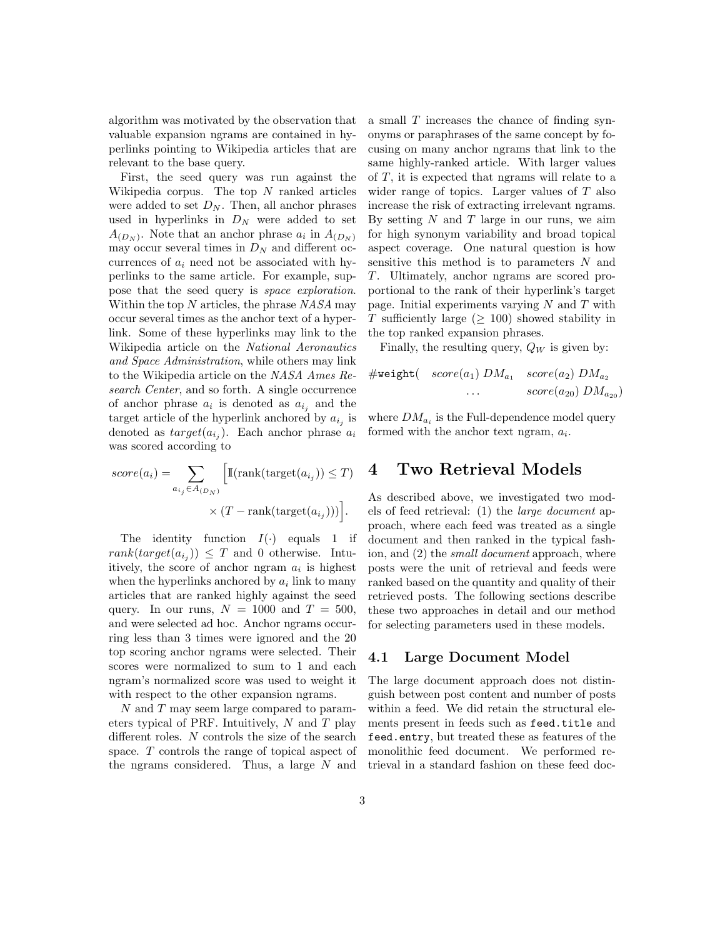algorithm was motivated by the observation that valuable expansion ngrams are contained in hyperlinks pointing to Wikipedia articles that are relevant to the base query.

First, the seed query was run against the Wikipedia corpus. The top  $N$  ranked articles were added to set  $D_N$ . Then, all anchor phrases used in hyperlinks in  $D<sub>N</sub>$  were added to set  $A_{(D_N)}$ . Note that an anchor phrase  $a_i$  in  $A_{(D_N)}$ may occur several times in  $D<sub>N</sub>$  and different occurrences of  $a_i$  need not be associated with hyperlinks to the same article. For example, suppose that the seed query is space exploration. Within the top  $N$  articles, the phrase  $NASA$  may occur several times as the anchor text of a hyperlink. Some of these hyperlinks may link to the Wikipedia article on the National Aeronautics and Space Administration, while others may link to the Wikipedia article on the NASA Ames Research Center, and so forth. A single occurrence of anchor phrase  $a_i$  is denoted as  $a_{i_j}$  and the target article of the hyperlink anchored by  $a_{i_j}$  is denoted as  $target(a_{i_j})$ . Each anchor phrase  $a_i$ was scored according to

$$
score(a_i) = \sum_{a_{ij} \in A_{(D_N)}} \left[ \mathbb{I}(\text{rank}(\text{target}(a_{i_j})) \le T) \times (T - \text{rank}(\text{target}(a_{i_j}))) \right].
$$

The identity function  $I(\cdot)$  equals 1 if  $rank(target(a_{i_j})) \leq T$  and 0 otherwise. Intuitively, the score of anchor ngram  $a_i$  is highest when the hyperlinks anchored by  $a_i$  link to many articles that are ranked highly against the seed query. In our runs,  $N = 1000$  and  $T = 500$ , and were selected ad hoc. Anchor ngrams occurring less than 3 times were ignored and the 20 top scoring anchor ngrams were selected. Their scores were normalized to sum to 1 and each ngram's normalized score was used to weight it with respect to the other expansion ngrams.

N and T may seem large compared to parameters typical of PRF. Intuitively,  $N$  and  $T$  play different roles. N controls the size of the search space. T controls the range of topical aspect of the ngrams considered. Thus, a large N and

a small T increases the chance of finding synonyms or paraphrases of the same concept by focusing on many anchor ngrams that link to the same highly-ranked article. With larger values of T, it is expected that ngrams will relate to a wider range of topics. Larger values of T also increase the risk of extracting irrelevant ngrams. By setting  $N$  and  $T$  large in our runs, we aim for high synonym variability and broad topical aspect coverage. One natural question is how sensitive this method is to parameters N and T. Ultimately, anchor ngrams are scored proportional to the rank of their hyperlink's target page. Initial experiments varying  $N$  and  $T$  with T sufficiently large ( $\geq$  100) showed stability in the top ranked expansion phrases.

Finally, the resulting query,  $Q_W$  is given by:

$$
\#weight(\quad score(a_1) \; DM_{a_1} \quad score(a_2) \; DM_{a_2} \quad \ldots \qquad score(a_{20}) \; DM_{a_{20}})
$$

where  $DM_{a_i}$  is the Full-dependence model query formed with the anchor text ngram,  $a_i$ .

## 4 Two Retrieval Models

As described above, we investigated two models of feed retrieval: (1) the large document approach, where each feed was treated as a single document and then ranked in the typical fashion, and (2) the small document approach, where posts were the unit of retrieval and feeds were ranked based on the quantity and quality of their retrieved posts. The following sections describe these two approaches in detail and our method for selecting parameters used in these models.

#### 4.1 Large Document Model

The large document approach does not distinguish between post content and number of posts within a feed. We did retain the structural elements present in feeds such as feed.title and feed.entry, but treated these as features of the monolithic feed document. We performed retrieval in a standard fashion on these feed doc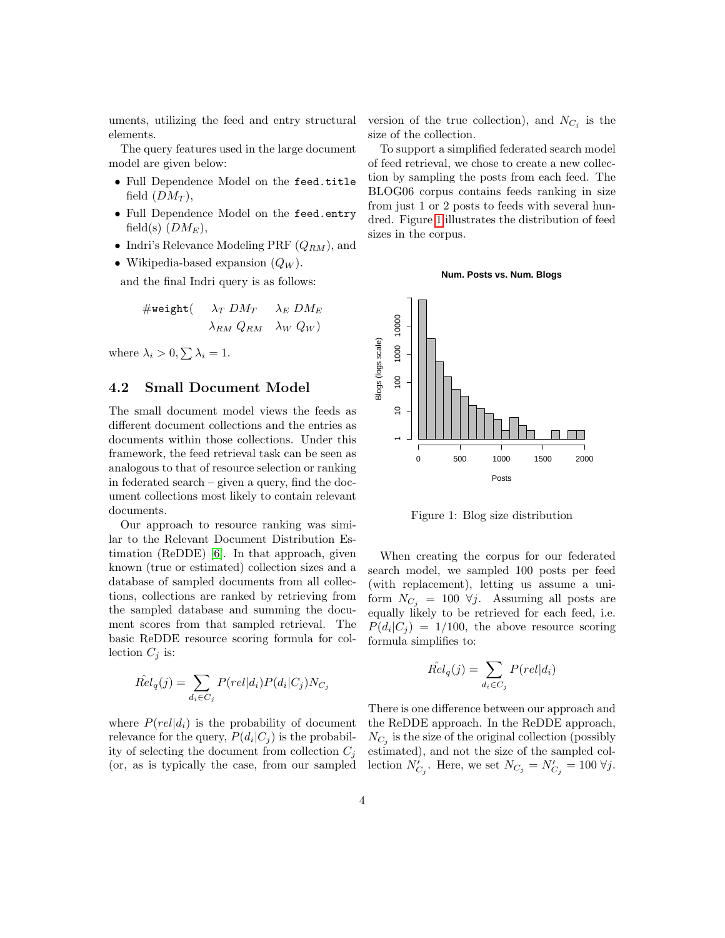uments, utilizing the feed and entry structural elements.

The query features used in the large document model are given below:

- Full Dependence Model on the feed.title field  $(DM_T)$ ,
- Full Dependence Model on the feed.entry field(s)  $(DM_E)$ ,
- Indri's Relevance Modeling PRF  $(Q_{RM})$ , and
- Wikipedia-based expansion  $(Q_W)$ .

and the final Indri query is as follows:

$$
\# \mathtt{weight} (\quad \ \ \lambda_T \; DM_T \quad \ \ \lambda_E \; DM_E \\ \quad \ \ \lambda_{RM} \; Q_{RM} \quad \ \ \lambda_W \; Q_W)
$$

where  $\lambda_i > 0, \sum \lambda_i = 1$ .

## 4.2 Small Document Model

The small document model views the feeds as different document collections and the entries as documents within those collections. Under this framework, the feed retrieval task can be seen as analogous to that of resource selection or ranking in federated search – given a query, find the document collections most likely to contain relevant documents.

Our approach to resource ranking was similar to the Relevant Document Distribution Estimation (ReDDE) [\[6\]](#page-5-7). In that approach, given known (true or estimated) collection sizes and a database of sampled documents from all collections, collections are ranked by retrieving from the sampled database and summing the document scores from that sampled retrieval. The basic ReDDE resource scoring formula for collection  $C_j$  is:

$$
\hat{Rel}_q(j) = \sum_{d_i \in C_j} P(\text{rel}|d_i) P(d_i|C_j) N_{C_j}
$$

where  $P(\text{rel}|d_i)$  is the probability of document relevance for the query,  $P(d_i|C_j)$  is the probability of selecting the document from collection  $C_j$ 

version of the true collection), and  $N_{C_j}$  is the size of the collection.

To support a simplified federated search model of feed retrieval, we chose to create a new collection by sampling the posts from each feed. The BLOG06 corpus contains feeds ranking in size from just 1 or 2 posts to feeds with several hundred. Figure [1](#page-3-0) illustrates the distribution of feed sizes in the corpus.





<span id="page-3-0"></span>Figure 1: Blog size distribution

When creating the corpus for our federated search model, we sampled 100 posts per feed (with replacement), letting us assume a uniform  $N_{C_i} = 100 \ \forall j$ . Assuming all posts are equally likely to be retrieved for each feed, i.e.  $P(d_i|C_j) = 1/100$ , the above resource scoring formula simplifies to:

$$
\hat{Rel}_q(j) = \sum_{d_i \in C_j} P(\text{rel}|d_i)
$$

(or, as is typically the case, from our sampled lection  $N'_{C_j}$ . Here, we set  $N_{C_j} = N'_{C_j} = 100 \; \forall j$ . There is one difference between our approach and the ReDDE approach. In the ReDDE approach,  $N_{C_j}$  is the size of the original collection (possibly estimated), and not the size of the sampled col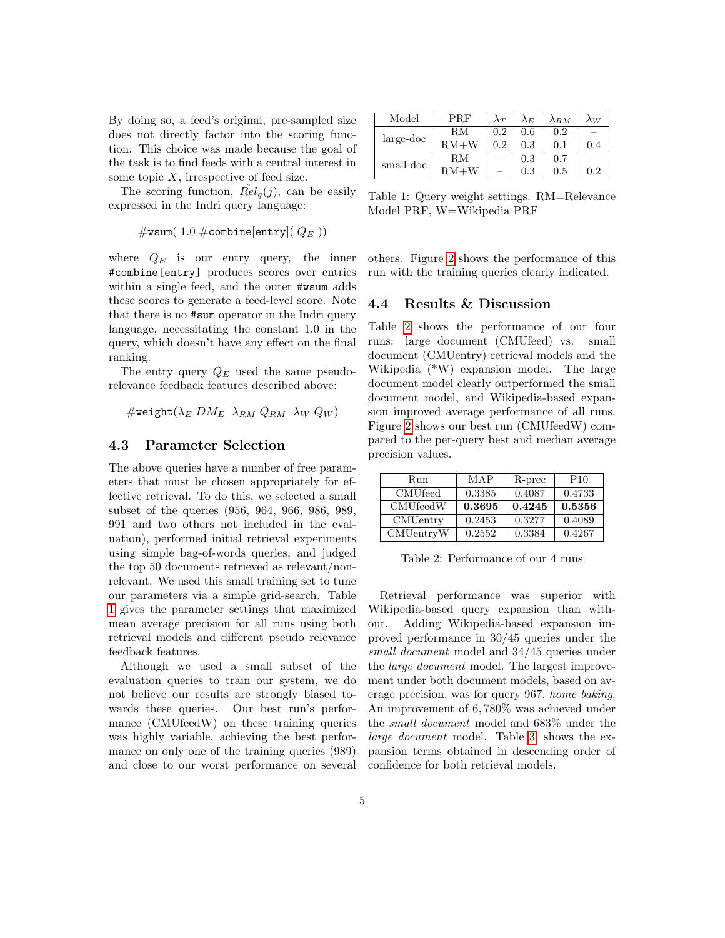By doing so, a feed's original, pre-sampled size does not directly factor into the scoring function. This choice was made because the goal of the task is to find feeds with a central interest in some topic  $X$ , irrespective of feed size.

The scoring function,  $\hat{Rel}_q(j)$ , can be easily expressed in the Indri query language:

#wsum( 1.0 #combine[entry](  $Q_E$  ))

where  $Q_E$  is our entry query, the inner #combine[entry] produces scores over entries within a single feed, and the outer #wsum adds these scores to generate a feed-level score. Note that there is no #sum operator in the Indri query language, necessitating the constant 1.0 in the query, which doesn't have any effect on the final ranking.

The entry query  $Q_E$  used the same pseudorelevance feedback features described above:

 $\#$ weight( $\lambda_E$   $DM_E$   $\lambda_{BM}$   $Q_{BM}$   $\lambda_W$   $Q_W$ )

#### 4.3 Parameter Selection

The above queries have a number of free parameters that must be chosen appropriately for effective retrieval. To do this, we selected a small subset of the queries (956, 964, 966, 986, 989, 991 and two others not included in the evaluation), performed initial retrieval experiments using simple bag-of-words queries, and judged the top 50 documents retrieved as relevant/nonrelevant. We used this small training set to tune our parameters via a simple grid-search. Table [1](#page-4-0) gives the parameter settings that maximized mean average precision for all runs using both retrieval models and different pseudo relevance feedback features.

Although we used a small subset of the evaluation queries to train our system, we do not believe our results are strongly biased towards these queries. Our best run's performance (CMUfeedW) on these training queries was highly variable, achieving the best performance on only one of the training queries (989) and close to our worst performance on several

| Model       | $\rm PRF$ | $\lambda_T$ | $\lambda_E$ | $\lambda_{RM}$ | $\lambda_W$ |
|-------------|-----------|-------------|-------------|----------------|-------------|
| $large-doc$ | R.M       | 0.2         | 0.6         | 0.2            |             |
|             | $RM+W$    | 0.2         | 0.3         | 0.1            | 0.4         |
| small-doc   | RМ        |             | 0.3         | 0.7            |             |
|             | $RM+W$    |             | 0.3         | 0.5            | 0.2         |

<span id="page-4-0"></span>Table 1: Query weight settings. RM=Relevance Model PRF, W=Wikipedia PRF

others. Figure [2](#page-5-8) shows the performance of this run with the training queries clearly indicated.

### 4.4 Results & Discussion

Table [2](#page-4-1) shows the performance of our four runs: large document (CMUfeed) vs. small document (CMUentry) retrieval models and the Wikipedia (\*W) expansion model. The large document model clearly outperformed the small document model, and Wikipedia-based expansion improved average performance of all runs. Figure [2](#page-5-8) shows our best run (CMUfeedW) compared to the per-query best and median average precision values.

| Run              | MAP    | R-prec | P <sub>10</sub> |
|------------------|--------|--------|-----------------|
| <b>CMU</b> feed  | 0.3385 | 0.4087 | 0.4733          |
| <b>CMU</b> feedW | 0.3695 | 0.4245 | 0.5356          |
| <b>CMU</b> entry | 0.2453 | 0.3277 | 0.4089          |
| CMUentryW        | 0.2552 | 0.3384 | 0.4267          |

<span id="page-4-1"></span>Table 2: Performance of our 4 runs

Retrieval performance was superior with Wikipedia-based query expansion than without. Adding Wikipedia-based expansion improved performance in 30/45 queries under the small document model and 34/45 queries under the large document model. The largest improvement under both document models, based on average precision, was for query 967, home baking. An improvement of 6, 780% was achieved under the small document model and 683% under the large document model. Table [3,](#page-5-9) shows the expansion terms obtained in descending order of confidence for both retrieval models.